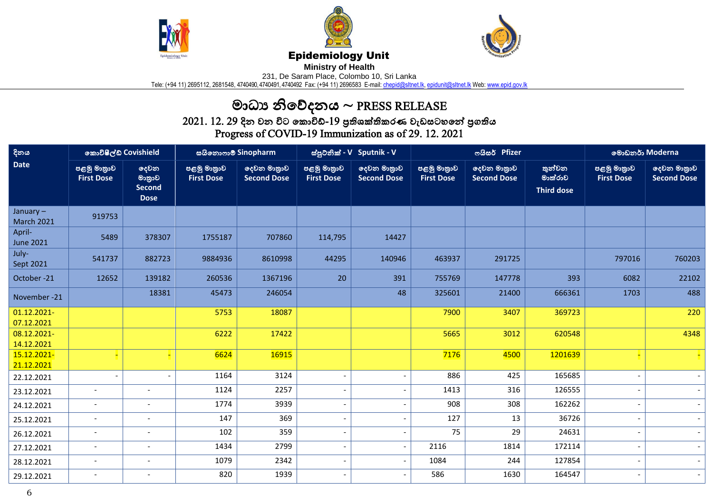





## Epidemiology Unit

**Ministry of Health** 

231, De Saram Place, Colombo 10, Sri Lanka

Tele: (+94 11) 2695112, 2681548, 4740490, 4740491, 4740492 Fax: (+94 11) 2696583 E-mail: <u>chepid@sltnet.lk, [epidunit@sltnet.lk](mailto:epidunit@sltnet.lk)</u> Web: <u>www.epid.gov.lk</u>

## මාධ්ය නිවේදනය ~ PRESS RELEASE

 $2021$ .  $12$ .  $29$  දින වන විට කොවිඩ්- $19$  පුතිශක්තිකරණ වැඩසටහනේ පුගතිය Progress of COVID-19 Immunization as of 29. 12. 2021

| දිනය<br><b>Date</b>              | කොවිෂීල්ඩ් Covishield            |                                                | සයිනොෆාම් Sinopharm              |                                   | ස්පුටනික් - V Sputnik - V        |                                   |                                  | ოයිසර් Pfizer                     | මොඩනර් Moderna                         |                                  |                                   |
|----------------------------------|----------------------------------|------------------------------------------------|----------------------------------|-----------------------------------|----------------------------------|-----------------------------------|----------------------------------|-----------------------------------|----------------------------------------|----------------------------------|-----------------------------------|
|                                  | පළමු මාතුාව<br><b>First Dose</b> | දෙවන<br>මානුාව<br><b>Second</b><br><b>Dose</b> | පළමු මාතුාව<br><b>First Dose</b> | දෙවන මාතුාව<br><b>Second Dose</b> | පළමු මාතුාව<br><b>First Dose</b> | දෙවන මාතුාව<br><b>Second Dose</b> | පළමු මාතුාව<br><b>First Dose</b> | දෙවන මාතුාව<br><b>Second Dose</b> | තුන්වන<br>මාත්රාව<br><b>Third dose</b> | පළමු මාතුාව<br><b>First Dose</b> | දෙවන මාතුාව<br><b>Second Dose</b> |
| January $-$<br><b>March 2021</b> | 919753                           |                                                |                                  |                                   |                                  |                                   |                                  |                                   |                                        |                                  |                                   |
| April-<br><b>June 2021</b>       | 5489                             | 378307                                         | 1755187                          | 707860                            | 114,795                          | 14427                             |                                  |                                   |                                        |                                  |                                   |
| July-<br>Sept 2021               | 541737                           | 882723                                         | 9884936                          | 8610998                           | 44295                            | 140946                            | 463937                           | 291725                            |                                        | 797016                           | 760203                            |
| October-21                       | 12652                            | 139182                                         | 260536                           | 1367196                           | 20                               | 391                               | 755769                           | 147778                            | 393                                    | 6082                             | 22102                             |
| November -21                     |                                  | 18381                                          | 45473                            | 246054                            |                                  | 48                                | 325601                           | 21400                             | 666361                                 | 1703                             | 488                               |
| 01.12.2021-<br>07.12.2021        |                                  |                                                | 5753                             | 18087                             |                                  |                                   | 7900                             | 3407                              | 369723                                 |                                  | 220                               |
| 08.12.2021-<br>14.12.2021        |                                  |                                                | 6222                             | 17422                             |                                  |                                   | 5665                             | 3012                              | 620548                                 |                                  | 4348                              |
| 15.12.2021-<br>21.12.2021        | ◾                                |                                                | 6624                             | 16915                             |                                  |                                   | 7176                             | 4500                              | 1201639                                |                                  |                                   |
| 22.12.2021                       |                                  |                                                | 1164                             | 3124                              |                                  | $\overline{\phantom{0}}$          | 886                              | 425                               | 165685                                 |                                  |                                   |
| 23.12.2021                       | $\overline{\phantom{a}}$         | $\overline{\phantom{a}}$                       | 1124                             | 2257                              |                                  | $\overline{\phantom{a}}$          | 1413                             | 316                               | 126555                                 |                                  |                                   |
| 24.12.2021                       |                                  |                                                | 1774                             | 3939                              |                                  | $\qquad \qquad \blacksquare$      | 908                              | 308                               | 162262                                 |                                  |                                   |
| 25.12.2021                       | $\overline{\phantom{a}}$         |                                                | 147                              | 369                               | $\overline{\phantom{a}}$         | $\overline{\phantom{a}}$          | 127                              | 13                                | 36726                                  |                                  |                                   |
| 26.12.2021                       | $\overline{\phantom{a}}$         | $\overline{\phantom{a}}$                       | 102                              | 359                               | $\overline{\phantom{a}}$         | $\blacksquare$                    | 75                               | 29                                | 24631                                  |                                  |                                   |
| 27.12.2021                       | $\overline{\phantom{a}}$         | $\overline{\phantom{a}}$                       | 1434                             | 2799                              | $\overline{\phantom{a}}$         | $\overline{\phantom{a}}$          | 2116                             | 1814                              | 172114                                 |                                  |                                   |
| 28.12.2021                       | $\overline{\phantom{a}}$         | $\overline{\phantom{a}}$                       | 1079                             | 2342                              | $\overline{\phantom{0}}$         | $\overline{\phantom{a}}$          | 1084                             | 244                               | 127854                                 |                                  |                                   |
| 29.12.2021                       | $\overline{\phantom{a}}$         | $\overline{\phantom{a}}$                       | 820                              | 1939                              | $\overline{\phantom{a}}$         | $\overline{\phantom{a}}$          | 586                              | 1630                              | 164547                                 |                                  | $\sim$                            |